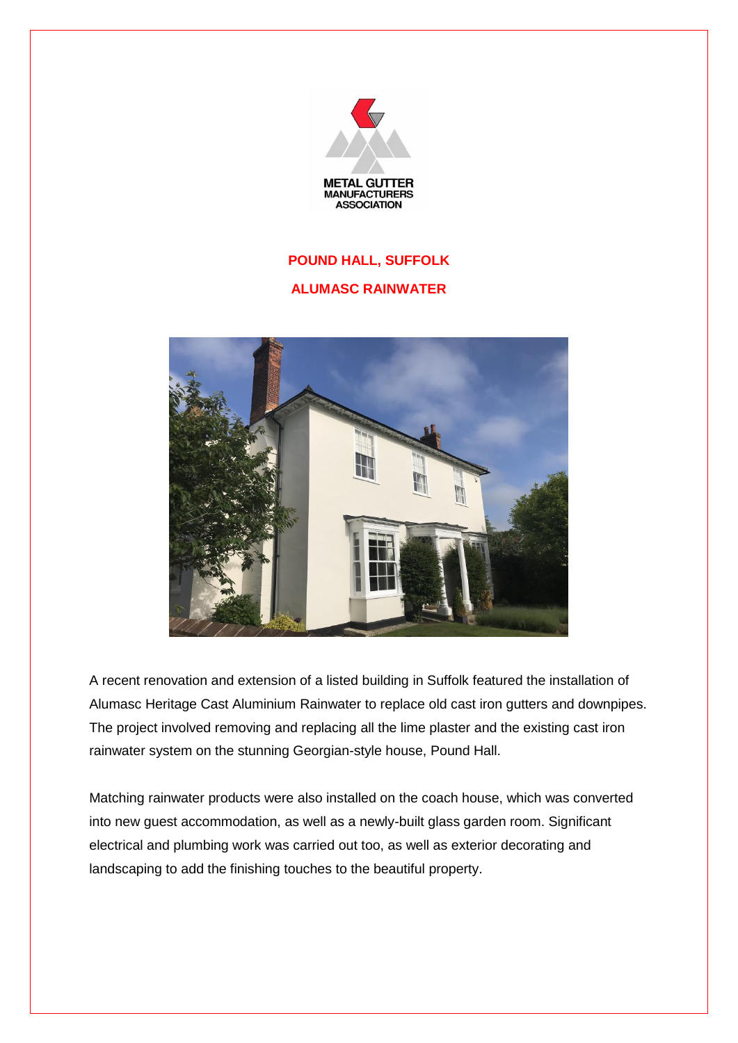

## **POUND HALL, SUFFOLK**

## **ALUMASC RAINWATER**



A recent renovation and extension of a listed building in Suffolk featured the installation of Alumasc Heritage Cast Aluminium Rainwater to replace old cast iron gutters and downpipes. The project involved removing and replacing all the lime plaster and the existing cast iron rainwater system on the stunning Georgian-style house, Pound Hall.

Matching rainwater products were also installed on the coach house, which was converted into new guest accommodation, as well as a newly-built glass garden room. Significant electrical and plumbing work was carried out too, as well as exterior decorating and landscaping to add the finishing touches to the beautiful property.